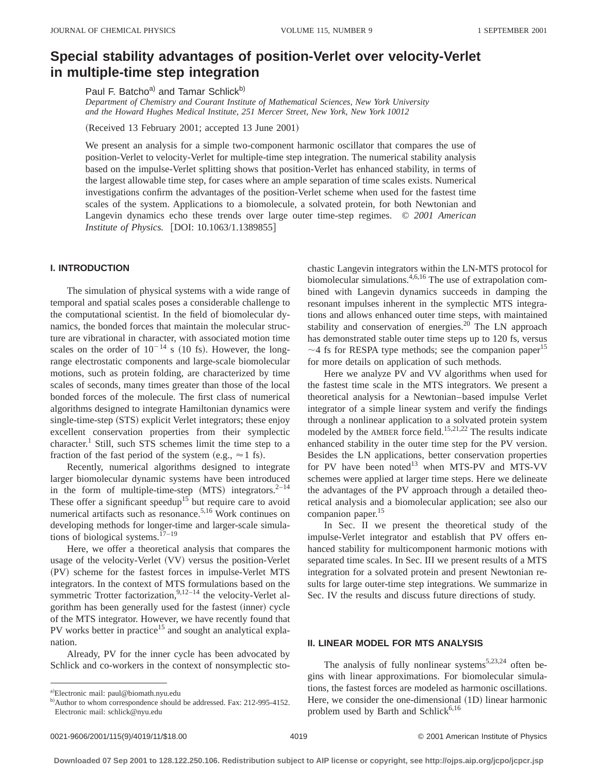# **Special stability advantages of position-Verlet over velocity-Verlet in multiple-time step integration**

Paul F. Batcho<sup>a)</sup> and Tamar Schlick<sup>b)</sup>

*Department of Chemistry and Courant Institute of Mathematical Sciences, New York University and the Howard Hughes Medical Institute, 251 Mercer Street, New York, New York 10012*

(Received 13 February 2001; accepted 13 June 2001)

We present an analysis for a simple two-component harmonic oscillator that compares the use of position-Verlet to velocity-Verlet for multiple-time step integration. The numerical stability analysis based on the impulse-Verlet splitting shows that position-Verlet has enhanced stability, in terms of the largest allowable time step, for cases where an ample separation of time scales exists. Numerical investigations confirm the advantages of the position-Verlet scheme when used for the fastest time scales of the system. Applications to a biomolecule, a solvated protein, for both Newtonian and Langevin dynamics echo these trends over large outer time-step regimes. © *2001 American Institute of Physics.* [DOI: 10.1063/1.1389855]

## **I. INTRODUCTION**

The simulation of physical systems with a wide range of temporal and spatial scales poses a considerable challenge to the computational scientist. In the field of biomolecular dynamics, the bonded forces that maintain the molecular structure are vibrational in character, with associated motion time scales on the order of  $10^{-14}$  s (10 fs). However, the longrange electrostatic components and large-scale biomolecular motions, such as protein folding, are characterized by time scales of seconds, many times greater than those of the local bonded forces of the molecule. The first class of numerical algorithms designed to integrate Hamiltonian dynamics were single-time-step (STS) explicit Verlet integrators; these enjoy excellent conservation properties from their symplectic character.<sup>1</sup> Still, such STS schemes limit the time step to a fraction of the fast period of the system (e.g.,  $\approx$  1 fs).

Recently, numerical algorithms designed to integrate larger biomolecular dynamic systems have been introduced in the form of multiple-time-step  $(MTS)$  integrators.<sup>2–14</sup> These offer a significant speedup<sup>15</sup> but require care to avoid numerical artifacts such as resonance.<sup>5,16</sup> Work continues on developing methods for longer-time and larger-scale simulations of biological systems.<sup>17-19</sup>

Here, we offer a theoretical analysis that compares the usage of the velocity-Verlet (VV) versus the position-Verlet (PV) scheme for the fastest forces in impulse-Verlet MTS integrators. In the context of MTS formulations based on the symmetric Trotter factorization,  $9,12-14$  the velocity-Verlet algorithm has been generally used for the fastest (inner) cycle of the MTS integrator. However, we have recently found that PV works better in practice<sup>15</sup> and sought an analytical explanation.

Already, PV for the inner cycle has been advocated by Schlick and co-workers in the context of nonsymplectic stochastic Langevin integrators within the LN-MTS protocol for biomolecular simulations.<sup>4,6,16</sup> The use of extrapolation combined with Langevin dynamics succeeds in damping the resonant impulses inherent in the symplectic MTS integrations and allows enhanced outer time steps, with maintained stability and conservation of energies. $20$  The LN approach has demonstrated stable outer time steps up to 120 fs, versus  $\sim$ 4 fs for RESPA type methods; see the companion paper<sup>15</sup> for more details on application of such methods.

Here we analyze PV and VV algorithms when used for the fastest time scale in the MTS integrators. We present a theoretical analysis for a Newtonian–based impulse Verlet integrator of a simple linear system and verify the findings through a nonlinear application to a solvated protein system modeled by the AMBER force field.<sup>15,21,22</sup> The results indicate enhanced stability in the outer time step for the PV version. Besides the LN applications, better conservation properties for PV have been noted $^{13}$  when MTS-PV and MTS-VV schemes were applied at larger time steps. Here we delineate the advantages of the PV approach through a detailed theoretical analysis and a biomolecular application; see also our companion paper.<sup>15</sup>

In Sec. II we present the theoretical study of the impulse-Verlet integrator and establish that PV offers enhanced stability for multicomponent harmonic motions with separated time scales. In Sec. III we present results of a MTS integration for a solvated protein and present Newtonian results for large outer-time step integrations. We summarize in Sec. IV the results and discuss future directions of study.

## **II. LINEAR MODEL FOR MTS ANALYSIS**

The analysis of fully nonlinear systems<sup>5,23,24</sup> often begins with linear approximations. For biomolecular simulations, the fastest forces are modeled as harmonic oscillations. Here, we consider the one-dimensional  $(1D)$  linear harmonic problem used by Barth and Schlick $6,16$ 

a)Electronic mail: paul@biomath.nyu.edu

b) Author to whom correspondence should be addressed. Fax: 212-995-4152. Electronic mail: schlick@nyu.edu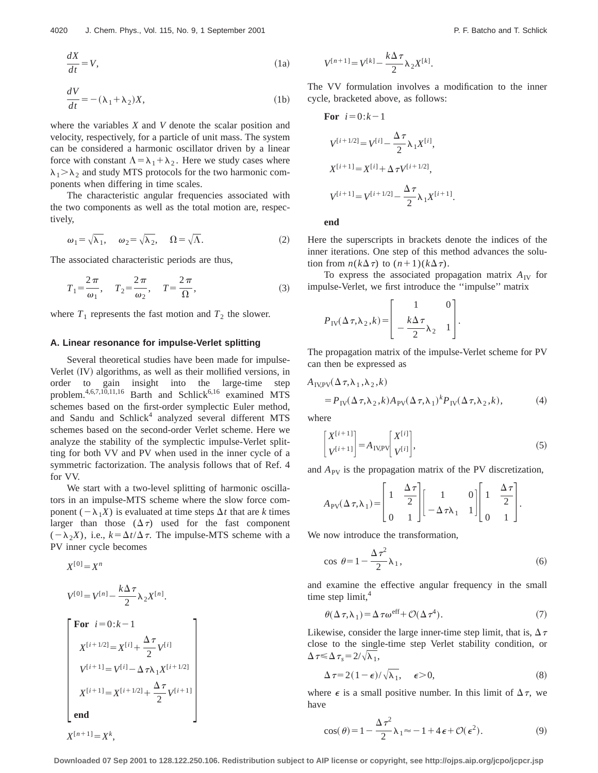$$
\frac{dX}{dt} = V,\tag{1a}
$$

$$
\frac{dV}{dt} = -(\lambda_1 + \lambda_2)X,\tag{1b}
$$

where the variables *X* and *V* denote the scalar position and velocity, respectively, for a particle of unit mass. The system can be considered a harmonic oscillator driven by a linear force with constant  $\Lambda = \lambda_1 + \lambda_2$ . Here we study cases where  $\lambda_1 > \lambda_2$  and study MTS protocols for the two harmonic components when differing in time scales.

The characteristic angular frequencies associated with the two components as well as the total motion are, respectively,

$$
\omega_1 = \sqrt{\lambda_1}, \quad \omega_2 = \sqrt{\lambda_2}, \quad \Omega = \sqrt{\Lambda}.
$$
 (2)

The associated characteristic periods are thus,

$$
T_1 = \frac{2\pi}{\omega_1}, \quad T_2 = \frac{2\pi}{\omega_2}, \quad T = \frac{2\pi}{\Omega},
$$
 (3)

where  $T_1$  represents the fast motion and  $T_2$  the slower.

## **A. Linear resonance for impulse-Verlet splitting**

Several theoretical studies have been made for impulse-Verlet (IV) algorithms, as well as their mollified versions, in order to gain insight into the large-time step problem.<sup>4,6,7,10,11,16</sup> Barth and Schlick<sup>6,16</sup> examined MTS schemes based on the first-order symplectic Euler method, and Sandu and Schlick<sup>4</sup> analyzed several different MTS schemes based on the second-order Verlet scheme. Here we analyze the stability of the symplectic impulse-Verlet splitting for both VV and PV when used in the inner cycle of a symmetric factorization. The analysis follows that of Ref. 4 for VV.

We start with a two-level splitting of harmonic oscillators in an impulse-MTS scheme where the slow force component  $(-\lambda_1 X)$  is evaluated at time steps  $\Delta t$  that are *k* times larger than those  $(\Delta \tau)$  used for the fast component  $(-\lambda_2 X)$ , i.e.,  $k = \Delta t / \Delta \tau$ . The impulse-MTS scheme with a PV inner cycle becomes

$$
X^{[0]} = X^n
$$
  
\n
$$
V^{[0]} = V^{[n]} - \frac{k\Delta\tau}{2} \lambda_2 X^{[n]}.
$$
  
\n
$$
\begin{bmatrix}\n\text{For } i = 0: k - 1 \\
X^{[i+1/2]} = X^{[i]} + \frac{\Delta\tau}{2} V^{[i]} \\
V^{[i+1]} = V^{[i]} - \Delta\tau \lambda_1 X^{[i+1/2]} \\
X^{[i+1]} = X^{[i+1/2]} + \frac{\Delta\tau}{2} V^{[i+1]} \\
\text{end} \\
X^{[n+1]} = X^k,
$$

$$
V^{[n+1]} = V^{[k]} - \frac{k\Delta\tau}{2} \lambda_2 X^{[k]}.
$$

The VV formulation involves a modification to the inner cycle, bracketed above, as follows:

For 
$$
i=0:k-1
$$
  
\n
$$
V^{[i+1/2]} = V^{[i]} - \frac{\Delta \tau}{2} \lambda_1 X^{[i]},
$$
\n
$$
X^{[i+1]} = X^{[i]} + \Delta \tau V^{[i+1/2]},
$$
\n
$$
V^{[i+1]} = V^{[i+1/2]} - \frac{\Delta \tau}{2} \lambda_1 X^{[i+1]}.
$$

**end**

Here the superscripts in brackets denote the indices of the inner iterations. One step of this method advances the solution from  $n(k\Delta \tau)$  to  $(n+1)(k\Delta \tau)$ .

To express the associated propagation matrix  $A_{\text{IV}}$  for impulse-Verlet, we first introduce the ''impulse'' matrix

$$
P_{\text{IV}}(\Delta \tau, \lambda_2, k) = \begin{bmatrix} 1 & 0 \\ -\frac{k\Delta \tau}{2} \lambda_2 & 1 \end{bmatrix}.
$$

The propagation matrix of the impulse-Verlet scheme for PV can then be expressed as

$$
A_{\text{IV,PV}}(\Delta \tau, \lambda_1, \lambda_2, k)
$$
  
=  $P_{\text{IV}}(\Delta \tau, \lambda_2, k) A_{\text{PV}}(\Delta \tau, \lambda_1)^k P_{\text{IV}}(\Delta \tau, \lambda_2, k),$  (4)

where

$$
\begin{bmatrix} X^{[i+1]} \\ V^{[i+1]} \end{bmatrix} = A_{IV,PV} \begin{bmatrix} X^{[i]} \\ V^{[i]} \end{bmatrix},\tag{5}
$$

and  $A_{PV}$  is the propagation matrix of the PV discretization,

$$
A_{\rm PV}(\Delta \tau, \lambda_1) = \begin{bmatrix} 1 & \frac{\Delta \tau}{2} \\ 0 & 1 \end{bmatrix} \begin{bmatrix} 1 & 0 \\ -\Delta \tau \lambda_1 & 1 \end{bmatrix} \begin{bmatrix} 1 & \frac{\Delta \tau}{2} \\ 0 & 1 \end{bmatrix}.
$$

We now introduce the transformation,

$$
\cos \theta = 1 - \frac{\Delta \tau^2}{2} \lambda_1,\tag{6}
$$

and examine the effective angular frequency in the small time step  $limit<sub>4</sub>$ <sup>4</sup>

$$
\theta(\Delta \tau, \lambda_1) = \Delta \tau \omega^{\text{eff}} + \mathcal{O}(\Delta \tau^4). \tag{7}
$$

Likewise, consider the large inner-time step limit, that is,  $\Delta \tau$ close to the single-time step Verlet stability condition, or  $\Delta \tau \leq \Delta \tau$ <sub>s</sub> =  $2/\sqrt{\lambda_1}$ ,

$$
\Delta \tau = 2(1 - \epsilon)/\sqrt{\lambda_1}, \quad \epsilon > 0,
$$
\n(8)

where  $\epsilon$  is a small positive number. In this limit of  $\Delta \tau$ , we have

$$
\cos(\theta) = 1 - \frac{\Delta \tau^2}{2} \lambda_1 \approx -1 + 4\epsilon + \mathcal{O}(\epsilon^2). \tag{9}
$$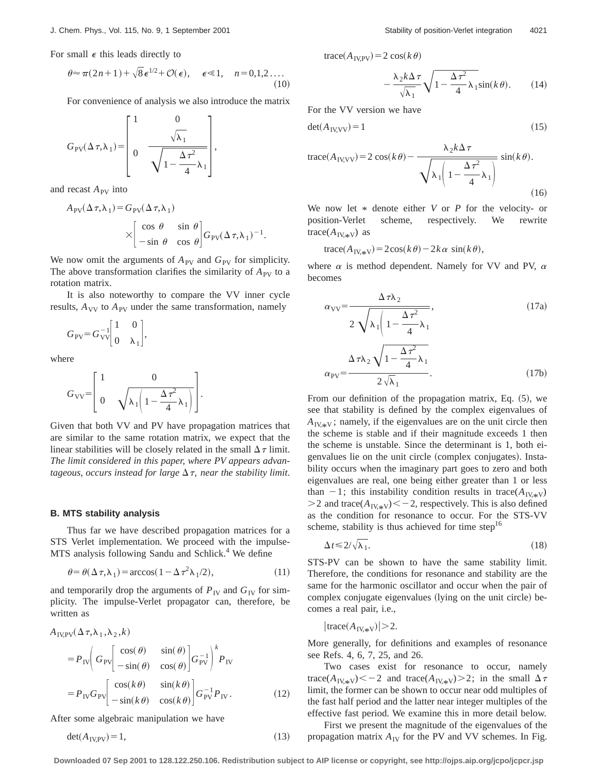For small  $\epsilon$  this leads directly to

$$
\theta \approx \pi (2n+1) + \sqrt{8} \epsilon^{1/2} + \mathcal{O}(\epsilon), \quad \epsilon \ll 1, \quad n = 0, 1, 2 \dots
$$
\n(10)

For convenience of analysis we also introduce the matrix

$$
G_{\rm PV}(\Delta \tau, \lambda_1) = \begin{bmatrix} 1 & 0 \\ & \sqrt{\lambda_1} \\ 0 & \sqrt{1 - \frac{\Delta \tau^2}{4}} \lambda_1 \end{bmatrix},
$$

and recast  $A_{PV}$  into

$$
A_{\rm PV}(\Delta \tau, \lambda_1) = G_{\rm PV}(\Delta \tau, \lambda_1)
$$
  
 
$$
\times \begin{bmatrix} \cos \theta & \sin \theta \\ -\sin \theta & \cos \theta \end{bmatrix} G_{\rm PV}(\Delta \tau, \lambda_1)^{-1}.
$$

We now omit the arguments of  $A_{PV}$  and  $G_{PV}$  for simplicity. The above transformation clarifies the similarity of  $A_{PV}$  to a rotation matrix.

It is also noteworthy to compare the VV inner cycle results,  $A_{VV}$  to  $A_{PV}$  under the same transformation, namely

$$
G_{\rm PV} = G_{\rm VV}^{-1} \begin{bmatrix} 1 & 0 \\ 0 & \lambda_1 \end{bmatrix},
$$

where

$$
G_{\rm VV} = \begin{bmatrix} 1 & 0 \\ 0 & \sqrt{\lambda_1 \left(1 - \frac{\Delta \tau^2}{4} \lambda_1\right)} \end{bmatrix}.
$$

Given that both VV and PV have propagation matrices that are similar to the same rotation matrix, we expect that the linear stabilities will be closely related in the small  $\Delta \tau$  limit. *The limit considered in this paper, where PV appears advantageous, occurs instead for large*  $\Delta \tau$ *, near the stability limit.* 

#### **B. MTS stability analysis**

Thus far we have described propagation matrices for a STS Verlet implementation. We proceed with the impulse-MTS analysis following Sandu and Schlick.<sup>4</sup> We define

$$
\theta = \theta(\Delta \tau, \lambda_1) = \arccos(1 - \Delta \tau^2 \lambda_1 / 2),\tag{11}
$$

and temporarily drop the arguments of  $P_{\text{IV}}$  and  $G_{\text{IV}}$  for simplicity. The impulse-Verlet propagator can, therefore, be written as

$$
A_{IV,PV}(\Delta \tau, \lambda_1, \lambda_2, k)
$$
  
=  $P_{IV} \left( G_{PV} \begin{bmatrix} \cos(\theta) & \sin(\theta) \\ -\sin(\theta) & \cos(\theta) \end{bmatrix} G_{PV}^{-1} \right)^k P_{IV}$   
=  $P_{IV} G_{PV} \begin{bmatrix} \cos(k\theta) & \sin(k\theta) \\ -\sin(k\theta) & \cos(k\theta) \end{bmatrix} G_{PV}^{-1} P_{IV}.$  (12)

After some algebraic manipulation we have

$$
\det(A_{\text{IV,PV}}) = 1,\tag{13}
$$

 $trace(A_{IVPV}) = 2 cos(k \theta)$ 

$$
-\frac{\lambda_2 k \Delta \tau}{\sqrt{\lambda_1}} \sqrt{1 - \frac{\Delta \tau^2}{4} \lambda_1 \sin(k\theta)}.
$$
 (14)

For the VV version we have

$$
\det(A_{\text{IV,VV}}) = 1\tag{15}
$$

trace
$$
(A_{\text{IV,VV}})
$$
 = 2 cos $(k \theta)$  -  $\frac{\lambda_2 k \Delta \tau}{\sqrt{\lambda_1 \left(1 - \frac{\Delta \tau^2}{4} \lambda_1\right)}}$  sin $(k \theta)$ . (16)

We now let \* denote either *V* or *P* for the velocity- or position-Verlet scheme, respectively. We rewrite scheme, respectively. We rewrite  $trace(A_{\text{IV},*V})$  as

 $trace(A_{IV*} = 2cos(k\theta) - 2k\alpha sin(k\theta)),$ 

where  $\alpha$  is method dependent. Namely for VV and PV,  $\alpha$ becomes

$$
\alpha_{\text{VV}} = \frac{\Delta \tau \lambda_2}{2 \sqrt{\lambda_1 \left(1 - \frac{\Delta \tau^2}{4} \lambda_1\right)}}
$$
\n
$$
\alpha_{\text{PV}} = \frac{\Delta \tau \lambda_2 \sqrt{1 - \frac{\Delta \tau^2}{4} \lambda_1}}{2 \sqrt{\lambda_1}}.
$$
\n(17a)

From our definition of the propagation matrix, Eq.  $(5)$ , we see that stability is defined by the complex eigenvalues of  $A_{\text{IV},*\text{V}}$ ; namely, if the eigenvalues are on the unit circle then the scheme is stable and if their magnitude exceeds 1 then the scheme is unstable. Since the determinant is 1, both eigenvalues lie on the unit circle (complex conjugates). Instability occurs when the imaginary part goes to zero and both eigenvalues are real, one being either greater than 1 or less than  $-1$ ; this instability condition results in trace( $A_{\text{IV},*V}$ )  $>$ 2 and trace( $A_{IV,*V}$ ) < - 2, respectively. This is also defined as the condition for resonance to occur. For the STS-VV scheme, stability is thus achieved for time step<sup>16</sup>

$$
\Delta t \le 2/\sqrt{\lambda_1}.\tag{18}
$$

STS-PV can be shown to have the same stability limit. Therefore, the conditions for resonance and stability are the same for the harmonic oscillator and occur when the pair of complex conjugate eigenvalues (lying on the unit circle) becomes a real pair, i.e.,

$$
|\text{trace}(A_{\text{IV},\ast\text{V}})|\!\geq\!2.
$$

More generally, for definitions and examples of resonance see Refs. 4, 6, 7, 25, and 26.

Two cases exist for resonance to occur, namely trace( $A_{\text{IV},*\text{V}}$ ) < -2 and trace( $A_{\text{IV},*\text{V}}$ ) > 2; in the small  $\Delta \tau$ limit, the former can be shown to occur near odd multiples of the fast half period and the latter near integer multiples of the effective fast period. We examine this in more detail below.

First we present the magnitude of the eigenvalues of the propagation matrix  $A_{IV}$  for the PV and VV schemes. In Fig.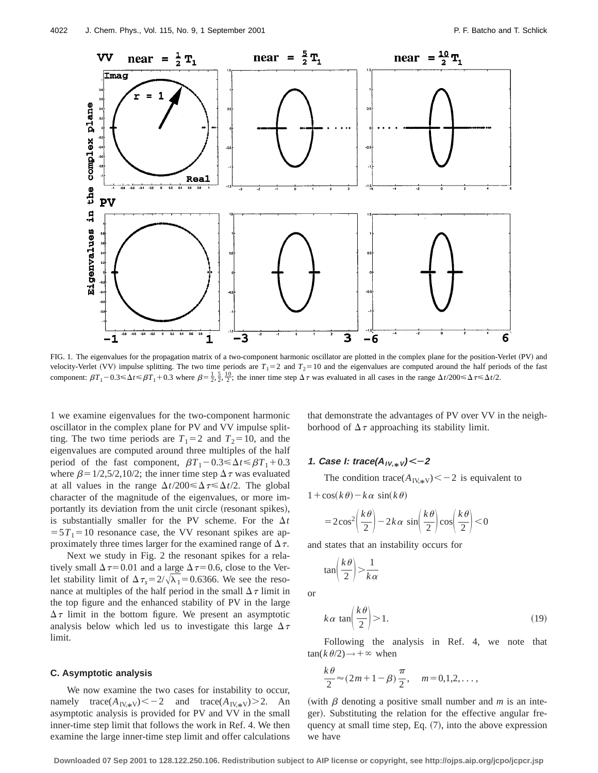

FIG. 1. The eigenvalues for the propagation matrix of a two-component harmonic oscillator are plotted in the complex plane for the position-Verlet (PV) and velocity-Verlet (VV) impulse splitting. The two time periods are  $T_1 = 2$  and  $T_2 = 10$  and the eigenvalues are computed around the half periods of the fast component:  $\beta T_1 - 0.3 \le \Delta t \le \beta T_1 + 0.3$  where  $\beta = \frac{1}{2}, \frac{5}{2}, \frac{10}{2}$ ; the inner time step  $\Delta \tau$  was evaluated in all cases in the range  $\Delta t/200 \le \Delta \tau \le \Delta t/2$ .

1 we examine eigenvalues for the two-component harmonic oscillator in the complex plane for PV and VV impulse splitting. The two time periods are  $T_1=2$  and  $T_2=10$ , and the eigenvalues are computed around three multiples of the half period of the fast component,  $\beta T_1 - 0.3 \le \Delta t \le \beta T_1 + 0.3$ where  $\beta = 1/2, 5/2, 10/2$ ; the inner time step  $\Delta \tau$  was evaluated at all values in the range  $\Delta t/200 \leq \Delta \tau \leq \Delta t/2$ . The global character of the magnitude of the eigenvalues, or more importantly its deviation from the unit circle (resonant spikes), is substantially smaller for the PV scheme. For the  $\Delta t$  $=5T_1=10$  resonance case, the VV resonant spikes are approximately three times larger for the examined range of  $\Delta \tau$ .

Next we study in Fig. 2 the resonant spikes for a relatively small  $\Delta \tau$ =0.01 and a large  $\Delta \tau$ =0.6, close to the Verlet stability limit of  $\Delta \tau_s = 2/\sqrt{\lambda_1} = 0.6366$ . We see the resonance at multiples of the half period in the small  $\Delta \tau$  limit in the top figure and the enhanced stability of PV in the large  $\Delta \tau$  limit in the bottom figure. We present an asymptotic analysis below which led us to investigate this large  $\Delta \tau$ limit.

### **C. Asymptotic analysis**

We now examine the two cases for instability to occur, namely trace( $A_{\text{IV,IV}}$ ) < -2 and trace( $A_{\text{IV,IV}}$ ) > 2. An asymptotic analysis is provided for PV and VV in the small inner-time step limit that follows the work in Ref. 4. We then examine the large inner-time step limit and offer calculations that demonstrate the advantages of PV over VV in the neighborhood of  $\Delta \tau$  approaching its stability limit.

# **1. Case I: trace(AIV, \*<sup>V</sup>) ËÀ<sup>2</sup>**

The condition trace( $A_{\text{IV+V}}$ ) < - 2 is equivalent to

 $1 + \cos(k\theta) - k\alpha \sin(k\theta)$ 

$$
=2\cos^2\left(\frac{k\theta}{2}\right)-2k\alpha\,\sin\left(\frac{k\theta}{2}\right)\cos\left(\frac{k\theta}{2}\right)<0
$$

and states that an instability occurs for

$$
\tan\left(\frac{k\theta}{2}\right) > \frac{1}{k\alpha}
$$

or

$$
k\alpha \tan\left(\frac{k\theta}{2}\right) > 1.
$$
 (19)

Following the analysis in Ref. 4, we note that  $tan(k \theta/2) \rightarrow +\infty$  when

$$
\frac{k\theta}{2} \approx (2m+1-\beta)\frac{\pi}{2}, \quad m=0,1,2,\ldots,
$$

(with  $\beta$  denoting a positive small number and *m* is an integer). Substituting the relation for the effective angular frequency at small time step, Eq.  $(7)$ , into the above expression we have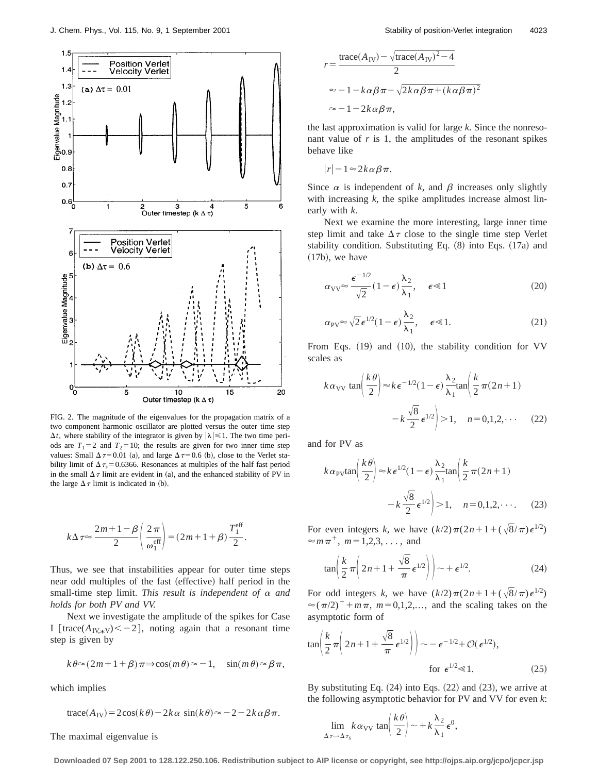

FIG. 2. The magnitude of the eigenvalues for the propagation matrix of a two component harmonic oscillator are plotted versus the outer time step  $\Delta t$ , where stability of the integrator is given by  $|\lambda| \leq 1$ . The two time periods are  $T_1=2$  and  $T_2=10$ ; the results are given for two inner time step values: Small  $\Delta \tau = 0.01$  (a), and large  $\Delta \tau = 0.6$  (b), close to the Verlet stability limit of  $\Delta \tau_s = 0.6366$ . Resonances at multiples of the half fast period in the small  $\Delta \tau$  limit are evident in (a), and the enhanced stability of PV in the large  $\Delta \tau$  limit is indicated in (b).

$$
k\Delta \tau \approx \frac{2m+1-\beta}{2}\left(\frac{2\pi}{\omega_1^{\text{eff}}}\right) = (2m+1+\beta)\frac{T_1^{\text{eff}}}{2}.
$$

Thus, we see that instabilities appear for outer time steps near odd multiples of the fast (effective) half period in the small-time step limit. *This result is independent of*  $\alpha$  *and holds for both PV and VV.*

Next we investigate the amplitude of the spikes for Case I [trace( $A_{IV,*V}$ ) < -2], noting again that a resonant time step is given by

$$
k \theta \approx (2m+1+\beta) \pi \Rightarrow \cos(m \theta) \approx -1
$$
,  $\sin(m \theta) \approx \beta \pi$ ,

which implies

trace
$$
(A_{\text{IV}})
$$
 = 2cos $(k\theta)$  – 2 $k\alpha$  sin $(k\theta)$   $\approx$  – 2 – 2 $k\alpha\beta\pi$ .

The maximal eigenvalue is

$$
r = \frac{\text{trace}(A_{\text{IV}}) - \sqrt{\text{trace}(A_{\text{IV}})^2 - 4}}{2}
$$
  

$$
\approx -1 - k\alpha\beta\pi - \sqrt{2k\alpha\beta\pi + (k\alpha\beta\pi)^2}
$$
  

$$
\approx -1 - 2k\alpha\beta\pi,
$$

the last approximation is valid for large *k*. Since the nonresonant value of  $r$  is 1, the amplitudes of the resonant spikes behave like

$$
|r| - 1 \approx 2k \alpha \beta \pi.
$$

Since  $\alpha$  is independent of  $k$ , and  $\beta$  increases only slightly with increasing *k*, the spike amplitudes increase almost linearly with *k*.

Next we examine the more interesting, large inner time step limit and take  $\Delta \tau$  close to the single time step Verlet stability condition. Substituting Eq.  $(8)$  into Eqs.  $(17a)$  and  $(17b)$ , we have

$$
\alpha_{\text{VV}} \approx \frac{\epsilon^{-1/2}}{\sqrt{2}} (1 - \epsilon) \frac{\lambda_2}{\lambda_1}, \quad \epsilon \ll 1 \tag{20}
$$

$$
\alpha_{\rm PV} \approx \sqrt{2} \,\epsilon^{1/2} (1 - \epsilon) \frac{\lambda_2}{\lambda_1}, \quad \epsilon \ll 1. \tag{21}
$$

From Eqs.  $(19)$  and  $(10)$ , the stability condition for VV scales as

$$
k \alpha_{\text{VV}} \tan\left(\frac{k\theta}{2}\right) \approx k \epsilon^{-1/2} (1-\epsilon) \frac{\lambda_2}{\lambda_1} \tan\left(\frac{k}{2} \pi (2n+1) -k \frac{\sqrt{8}}{2} \epsilon^{1/2}\right) > 1, \quad n = 0, 1, 2, \cdots \tag{22}
$$

and for PV as

$$
k \alpha_{\rm PV} \tan\left(\frac{k\theta}{2}\right) \approx k \epsilon^{1/2} (1-\epsilon) \frac{\lambda_2}{\lambda_1} \tan\left(\frac{k}{2} \pi (2n+1) -k \frac{\sqrt{8}}{2} \epsilon^{1/2}\right) > 1, \quad n = 0, 1, 2, \cdots.
$$
 (23)

For even integers *k*, we have  $(k/2)\pi(2n+1+(\sqrt{8}/\pi)\epsilon^{1/2})$  $\approx m \pi^+$ ,  $m=1,2,3,...$ , and

$$
\tan\left(\frac{k}{2}\pi\left(2n+1+\frac{\sqrt{8}}{\pi}\epsilon^{1/2}\right)\right)\sim+\epsilon^{1/2}.
$$
 (24)

For odd integers *k*, we have  $(k/2)\pi(2n+1+(\sqrt{8}/\pi)\epsilon^{1/2})$  $\approx (\pi/2)^+ + m\pi$ ,  $m=0,1,2,...$ , and the scaling takes on the asymptotic form of

$$
\tan\left(\frac{k}{2}\pi\left(2n+1+\frac{\sqrt{8}}{\pi}\epsilon^{1/2}\right)\right) \sim -\epsilon^{-1/2} + \mathcal{O}(\epsilon^{1/2}),
$$
\n
$$
\text{for } \epsilon^{1/2} \ll 1. \tag{25}
$$

By substituting Eq.  $(24)$  into Eqs.  $(22)$  and  $(23)$ , we arrive at the following asymptotic behavior for PV and VV for even *k*:

$$
\lim_{\Delta \tau \to \Delta \tau_s} k \alpha_{\rm VV} \tan\left(\frac{k\theta}{2}\right) \sim +k \frac{\lambda_2}{\lambda_1} \epsilon^0,
$$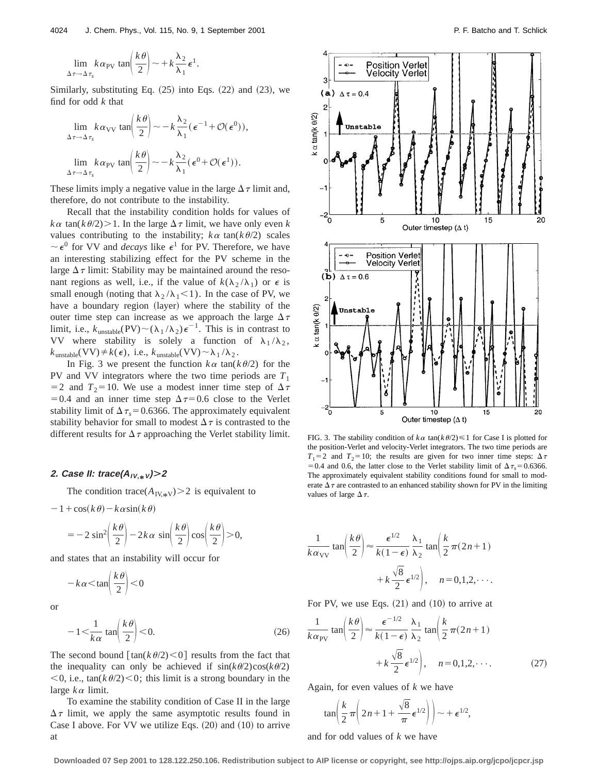$$
\lim_{\Delta \tau \to \Delta \tau_s} k \alpha_{\text{PV}} \tan \left( \frac{k \theta}{2} \right) \sim + k \frac{\lambda_2}{\lambda_1} \epsilon^1.
$$

Similarly, substituting Eq.  $(25)$  into Eqs.  $(22)$  and  $(23)$ , we find for odd *k* that

$$
\lim_{\Delta \tau \to \Delta \tau_s} k \alpha_{\text{VV}} \tan \left( \frac{k \theta}{2} \right) \sim -k \frac{\lambda_2}{\lambda_1} (\epsilon^{-1} + \mathcal{O}(\epsilon^0)),
$$
  

$$
\lim_{\Delta \tau \to \Delta \tau_s} k \alpha_{\text{PV}} \tan \left( \frac{k \theta}{2} \right) \sim -k \frac{\lambda_2}{\lambda_1} (\epsilon^0 + \mathcal{O}(\epsilon^1)).
$$

These limits imply a negative value in the large  $\Delta \tau$  limit and, therefore, do not contribute to the instability.

Recall that the instability condition holds for values of  $k\alpha$  tan( $k\theta/2$ ) > 1. In the large  $\Delta \tau$  limit, we have only even *k* values contributing to the instability;  $k\alpha$  tan( $k\theta/2$ ) scales  $\sim \epsilon^0$  for VV and *decays* like  $\epsilon^1$  for PV. Therefore, we have an interesting stabilizing effect for the PV scheme in the large  $\Delta \tau$  limit: Stability may be maintained around the resonant regions as well, i.e., if the value of  $k(\lambda_2/\lambda_1)$  or  $\epsilon$  is small enough (noting that  $\lambda_2 / \lambda_1 \leq 1$ ). In the case of PV, we have a boundary region (layer) where the stability of the outer time step can increase as we approach the large  $\Delta \tau$ limit, i.e.,  $k_{\text{unstable}}(PV) \sim (\lambda_1 / \lambda_2) \epsilon^{-1}$ . This is in contrast to VV where stability is solely a function of  $\lambda_1 / \lambda_2$ ,  $k_{\text{unstable}}(VV) \neq k(\epsilon)$ , i.e.,  $k_{\text{unstable}}(VV) \sim \lambda_1 / \lambda_2$ .

In Fig. 3 we present the function  $k\alpha$  tan( $k\theta/2$ ) for the PV and VV integrators where the two time periods are  $T_1$ = 2 and  $T_2$ = 10. We use a modest inner time step of  $\Delta \tau$ =0.4 and an inner time step  $\Delta \tau$ =0.6 close to the Verlet stability limit of  $\Delta \tau_s = 0.6366$ . The approximately equivalent stability behavior for small to modest  $\Delta \tau$  is contrasted to the different results for  $\Delta \tau$  approaching the Verlet stability limit.

# **2. Case II: trace(AIV, \*<sup>V</sup>)Ì<sup>2</sup>**

The condition trace( $A_{IV,*V}$ )>2 is equivalent to

$$
-1+\cos(k\theta)-k\alpha\sin(k\theta)
$$

$$
=-2\sin^2\left(\frac{k\theta}{2}\right)-2k\alpha\,\sin\left(\frac{k\theta}{2}\right)\cos\left(\frac{k\theta}{2}\right)>0,
$$

and states that an instability will occur for

$$
-k\alpha < \tan\left(\frac{k\theta}{2}\right) < 0
$$

or

$$
-1 < \frac{1}{k\alpha} \tan\left(\frac{k\theta}{2}\right) < 0.
$$
 (26)

The second bound  $\lceil \tan(k \theta/2) \le 0 \rceil$  results from the fact that the inequality can only be achieved if  $sin(k\theta/2)cos(k\theta/2)$  $<$ 0, i.e., tan( $k\theta$ /2) $<$ 0; this limit is a strong boundary in the large *k*<sup>a</sup> limit.

To examine the stability condition of Case II in the large  $\Delta \tau$  limit, we apply the same asymptotic results found in Case I above. For VV we utilize Eqs.  $(20)$  and  $(10)$  to arrive at



FIG. 3. The stability condition of  $k \alpha$  tan( $k \theta/2$ )  $\leq 1$  for Case I is plotted for the position-Verlet and velocity-Verlet integrators. The two time periods are  $T_1=2$  and  $T_2=10$ ; the results are given for two inner time steps:  $\Delta \tau$ = 0.4 and 0.6, the latter close to the Verlet stability limit of  $\Delta \tau_s$ = 0.6366. The approximately equivalent stability conditions found for small to moderate  $\Delta \tau$  are contrasted to an enhanced stability shown for PV in the limiting values of large  $\Delta \tau$ .

$$
\frac{1}{k \alpha_{\text{VV}}} \tan\left(\frac{k\theta}{2}\right) \approx \frac{\epsilon^{1/2}}{k(1-\epsilon)} \frac{\lambda_1}{\lambda_2} \tan\left(\frac{k}{2}\pi(2n+1) + k\frac{\sqrt{8}}{2}\epsilon^{1/2}\right), \quad n = 0, 1, 2, \cdots.
$$

For PV, we use Eqs.  $(21)$  and  $(10)$  to arrive at

$$
\frac{1}{k \alpha_{\text{PV}}} \tan\left(\frac{k\theta}{2}\right) \approx \frac{\epsilon^{-1/2}}{k(1-\epsilon)} \frac{\lambda_1}{\lambda_2} \tan\left(\frac{k}{2}\pi(2n+1) + k\frac{\sqrt{8}}{2}\epsilon^{1/2}\right), \quad n = 0, 1, 2, \cdots.
$$
 (27)

Again, for even values of *k* we have

$$
\tan\left(\frac{k}{2}\pi\left(2n+1+\frac{\sqrt{8}}{\pi}\epsilon^{1/2}\right)\right)\sim+\epsilon^{1/2},
$$

and for odd values of *k* we have

**Downloaded 07 Sep 2001 to 128.122.250.106. Redistribution subject to AIP license or copyright, see http://ojps.aip.org/jcpo/jcpcr.jsp**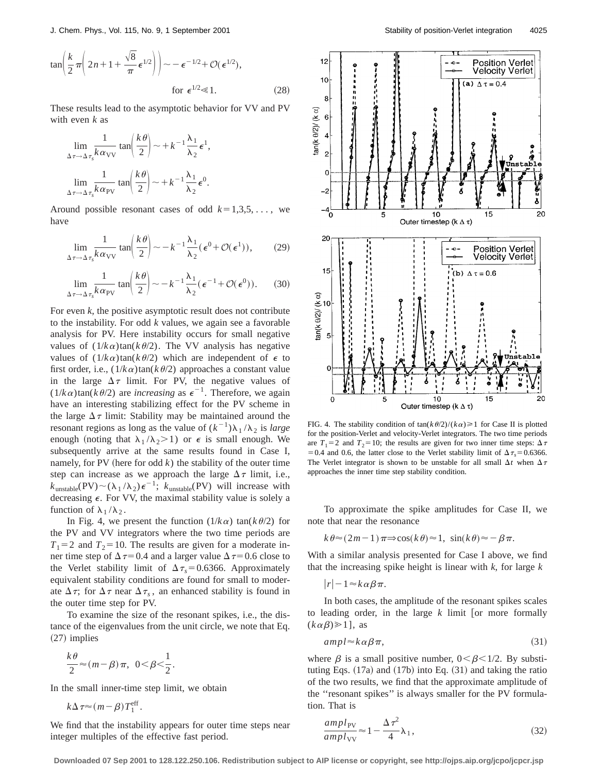$$
\tan\left(\frac{k}{2}\pi\left(2n+1+\frac{\sqrt{8}}{\pi}\epsilon^{1/2}\right)\right) \sim -\epsilon^{-1/2} + \mathcal{O}(\epsilon^{1/2}),
$$
\n
$$
\text{for } \epsilon^{1/2} \ll 1. \tag{28}
$$

These results lead to the asymptotic behavior for VV and PV with even *k* as

$$
\lim_{\Delta \tau \to \Delta \tau_s} \frac{1}{k \alpha_{\text{VV}}} \tan \left( \frac{k \theta}{2} \right) \sim +k^{-1} \frac{\lambda_1}{\lambda_2} \epsilon^1,
$$
  

$$
\lim_{\Delta \tau \to \Delta \tau_s} \frac{1}{k \alpha_{\text{PV}}} \tan \left( \frac{k \theta}{2} \right) \sim +k^{-1} \frac{\lambda_1}{\lambda_2} \epsilon^0.
$$

Around possible resonant cases of odd  $k=1,3,5,...$ , we have

$$
\lim_{\Delta \tau \to \Delta \tau_s} \frac{1}{k \alpha_{\text{VV}}} \tan \left( \frac{k \theta}{2} \right) \sim -k^{-1} \frac{\lambda_1}{\lambda_2} (\epsilon^0 + \mathcal{O}(\epsilon^1)),\tag{29}
$$

$$
\lim_{\Delta \tau \to \Delta \tau_s} \frac{1}{k \alpha_{\text{PV}}} \tan \left( \frac{k \theta}{2} \right) \sim -k^{-1} \frac{\lambda_1}{\lambda_2} (\epsilon^{-1} + \mathcal{O}(\epsilon^0)). \tag{30}
$$

For even *k*, the positive asymptotic result does not contribute to the instability. For odd *k* values, we again see a favorable analysis for PV. Here instability occurs for small negative values of  $(1/k\alpha)\tan(k\theta/2)$ . The VV analysis has negative values of  $(1/k\alpha)\tan(k\theta/2)$  which are independent of  $\epsilon$  to first order, i.e.,  $(1/k \alpha) \tan(k \theta/2)$  approaches a constant value in the large  $\Delta \tau$  limit. For PV, the negative values of  $(1/k \alpha) \tan(k \theta/2)$  are *increasing* as  $\epsilon^{-1}$ . Therefore, we again have an interesting stabilizing effect for the PV scheme in the large  $\Delta \tau$  limit: Stability may be maintained around the resonant regions as long as the value of  $(k^{-1})\lambda_1/\lambda_2$  is *large* enough (noting that  $\lambda_1 / \lambda_2 > 1$ ) or  $\epsilon$  is small enough. We subsequently arrive at the same results found in Case I, namely, for PV (here for odd  $k$ ) the stability of the outer time step can increase as we approach the large  $\Delta \tau$  limit, i.e.,  $k_{\text{unstable}}(PV) \sim (\lambda_1 / \lambda_2) \epsilon^{-1}$ ;  $k_{\text{unstable}}(PV)$  will increase with decreasing  $\epsilon$ . For VV, the maximal stability value is solely a function of  $\lambda_1 / \lambda_2$ .

In Fig. 4, we present the function  $(1/k \alpha) \tan(k \theta/2)$  for the PV and VV integrators where the two time periods are  $T_1 = 2$  and  $T_2 = 10$ . The results are given for a moderate inner time step of  $\Delta \tau$ =0.4 and a larger value  $\Delta \tau$ =0.6 close to the Verlet stability limit of  $\Delta \tau_s = 0.6366$ . Approximately equivalent stability conditions are found for small to moderate  $\Delta \tau$ ; for  $\Delta \tau$  near  $\Delta \tau_s$ , an enhanced stability is found in the outer time step for PV.

To examine the size of the resonant spikes, i.e., the distance of the eigenvalues from the unit circle, we note that Eq.  $(27)$  implies

$$
\frac{k\theta}{2} \approx (m-\beta)\pi, \ 0 < \beta < \frac{1}{2}.
$$

In the small inner-time step limit, we obtain

 $k\Delta \tau \approx (m-\beta)T_1^{\text{eff}}$ .

We find that the instability appears for outer time steps near integer multiples of the effective fast period.



FIG. 4. The stability condition of  $tan(k \theta/2)/(k \alpha) \ge 1$  for Case II is plotted for the position-Verlet and velocity-Verlet integrators. The two time periods are  $T_1=2$  and  $T_2=10$ ; the results are given for two inner time steps:  $\Delta \tau$ = 0.4 and 0.6, the latter close to the Verlet stability limit of  $\Delta \tau_s$  = 0.6366. The Verlet integrator is shown to be unstable for all small  $\Delta t$  when  $\Delta \tau$ approaches the inner time step stability condition.

To approximate the spike amplitudes for Case II, we note that near the resonance

$$
k\theta \approx (2m-1)\pi \Rightarrow \cos(k\theta) \approx 1, \sin(k\theta) \approx -\beta \pi.
$$

With a similar analysis presented for Case I above, we find that the increasing spike height is linear with *k*, for large *k*

$$
|r| - 1 \approx k \alpha \beta \pi.
$$

In both cases, the amplitude of the resonant spikes scales to leading order, in the large  $k$  limit [or more formally  $(k\alpha\beta) \geq 1$ , as

$$
ampl \approx k \alpha \beta \pi, \tag{31}
$$

where  $\beta$  is a small positive number,  $0 < \beta < 1/2$ . By substituting Eqs.  $(17a)$  and  $(17b)$  into Eq.  $(31)$  and taking the ratio of the two results, we find that the approximate amplitude of the ''resonant spikes'' is always smaller for the PV formulation. That is

$$
\frac{ampl_{\text{PV}}}{ampl_{\text{VV}}} \approx 1 - \frac{\Delta \tau^2}{4} \lambda_1,\tag{32}
$$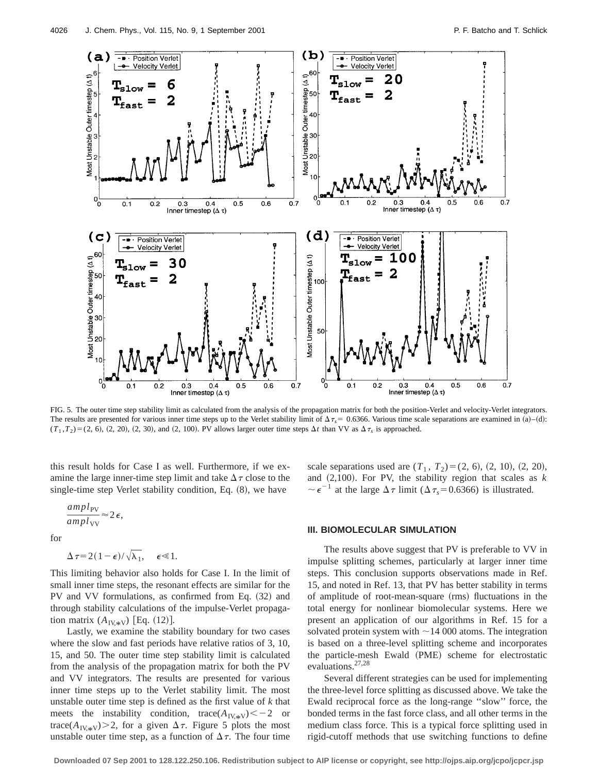

FIG. 5. The outer time step stability limit as calculated from the analysis of the propagation matrix for both the position-Verlet and velocity-Verlet integrators. The results are presented for various inner time steps up to the Verlet stability limit of  $\Delta \tau_s = 0.6366$ . Various time scale separations are examined in (a)–(d):  $(T_1, T_2) = (2, 6), (2, 20), (2, 30),$  and  $(2, 100)$ . PV allows larger outer time steps  $\Delta t$  than VV as  $\Delta \tau_s$  is approached.

this result holds for Case I as well. Furthermore, if we examine the large inner-time step limit and take  $\Delta \tau$  close to the single-time step Verlet stability condition, Eq.  $(8)$ , we have

$$
\frac{ampl_{\rm PV}}{ampl_{\rm VV}}\!\approx\!2\,\epsilon,
$$

for

$$
\Delta \tau = 2(1-\epsilon)/\sqrt{\lambda_1}, \quad \epsilon \ll 1.
$$

This limiting behavior also holds for Case I. In the limit of small inner time steps, the resonant effects are similar for the PV and VV formulations, as confirmed from Eq.  $(32)$  and through stability calculations of the impulse-Verlet propagation matrix  $(A_{\text{IV},*V})$  [Eq. (12)].

Lastly, we examine the stability boundary for two cases where the slow and fast periods have relative ratios of 3, 10, 15, and 50. The outer time step stability limit is calculated from the analysis of the propagation matrix for both the PV and VV integrators. The results are presented for various inner time steps up to the Verlet stability limit. The most unstable outer time step is defined as the first value of *k* that meets the instability condition, trace( $A_{\text{IV,}\#V}$ ) $<-2$  or trace( $A_{\text{IV},*V}$ )>2, for a given  $\Delta \tau$ . Figure 5 plots the most unstable outer time step, as a function of  $\Delta \tau$ . The four time scale separations used are  $(T_1, T_2)=(2, 6), (2, 10), (2, 20),$ and  $(2,100)$ . For PV, the stability region that scales as  $k$  $\sim \epsilon^{-1}$  at the large  $\Delta \tau$  limit ( $\Delta \tau_s = 0.6366$ ) is illustrated.

### **III. BIOMOLECULAR SIMULATION**

The results above suggest that PV is preferable to VV in impulse splitting schemes, particularly at larger inner time steps. This conclusion supports observations made in Ref. 15, and noted in Ref. 13, that PV has better stability in terms of amplitude of root-mean-square (rms) fluctuations in the total energy for nonlinear biomolecular systems. Here we present an application of our algorithms in Ref. 15 for a solvated protein system with  $\sim$  14 000 atoms. The integration is based on a three-level splitting scheme and incorporates the particle-mesh Ewald (PME) scheme for electrostatic evaluations.<sup>27,28</sup>

Several different strategies can be used for implementing the three-level force splitting as discussed above. We take the Ewald reciprocal force as the long-range ''slow'' force, the bonded terms in the fast force class, and all other terms in the medium class force. This is a typical force splitting used in rigid-cutoff methods that use switching functions to define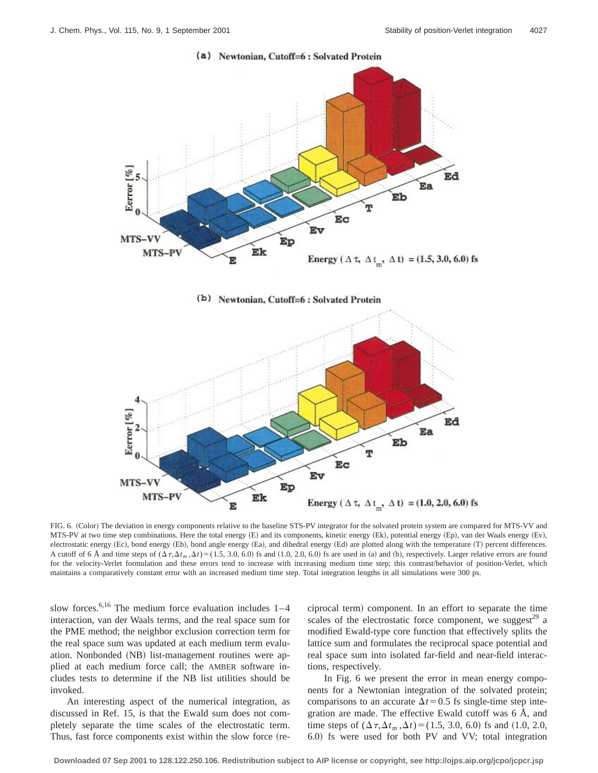

(a) Newtonian, Cutoff=6 : Solvated Protein





FIG. 6. (Color) The deviation in energy components relative to the baseline STS-PV integrator for the solvated protein system are compared for MTS-VV and MTS-PV at two time step combinations. Here the total energy (E) and its components, kinetic energy (Ek), potential energy (Ep), van der Waals energy (Ev), electrostatic energy (Ec), bond energy (Eb), bond angle energy (Ea), and dihedral energy (Ed) are plotted along with the temperature (T) percent differences. A cutoff of 6 Å and time steps of  $(\Delta \tau, \Delta t_m, \Delta t)$  = (1.5, 3.0, 6.0) fs and (1.0, 2.0, 6.0) fs are used in (a) and (b), respectively. Larger relative errors are found for the velocity-Verlet formulation and these errors tend to increase with increasing medium time step; this contrast/behavior of position-Verlet, which maintains a comparatively constant error with an increased medium time step. Total integration lengths in all simulations were 300 ps.

slow forces.<sup>6,16</sup> The medium force evaluation includes  $1-4$ interaction, van der Waals terms, and the real space sum for the PME method; the neighbor exclusion correction term for the real space sum was updated at each medium term evaluation. Nonbonded (NB) list-management routines were applied at each medium force call; the AMBER software includes tests to determine if the NB list utilities should be invoked.

An interesting aspect of the numerical integration, as discussed in Ref. 15, is that the Ewald sum does not completely separate the time scales of the electrostatic term. Thus, fast force components exist within the slow force (reciprocal term) component. In an effort to separate the time scales of the electrostatic force component, we suggest<sup>29</sup> a modified Ewald-type core function that effectively splits the lattice sum and formulates the reciprocal space potential and real space sum into isolated far-field and near-field interactions, respectively.

In Fig. 6 we present the error in mean energy components for a Newtonian integration of the solvated protein; comparisons to an accurate  $\Delta t$ =0.5 fs single-time step integration are made. The effective Ewald cutoff was 6 Å, and time steps of  $(\Delta \tau, \Delta t_m, \Delta t) = (1.5, 3.0, 6.0)$  fs and  $(1.0, 2.0,$ 6.0! fs were used for both PV and VV; total integration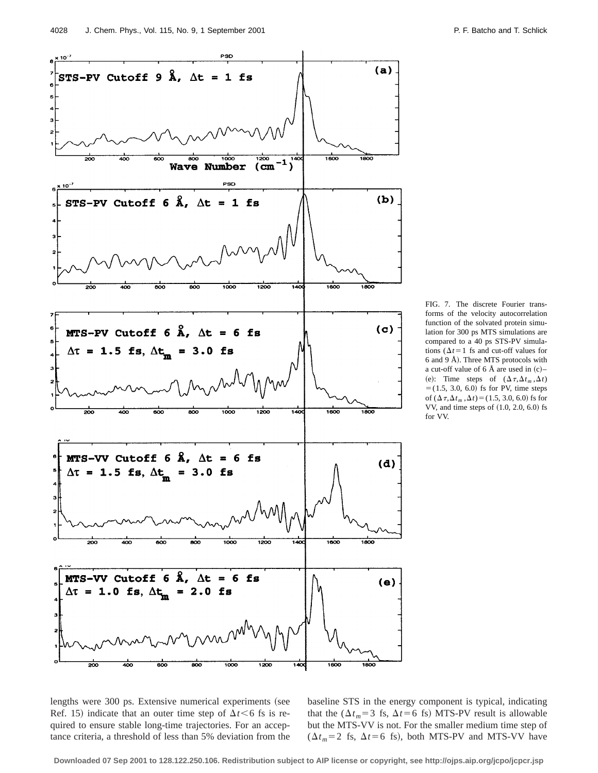

FIG. 7. The discrete Fourier transforms of the velocity autocorrelation function of the solvated protein simulation for 300 ps MTS simulations are compared to a 40 ps STS-PV simulations ( $\Delta t$ =1 fs and cut-off values for 6 and 9 Å). Three MTS protocols with a cut-off value of 6 Å are used in  $(c)$ – (e): Time steps of  $(\Delta \tau, \Delta t_m, \Delta t)$  $=$  (1.5, 3.0, 6.0) fs for PV, time steps of  $(\Delta \tau, \Delta t_m, \Delta t)$  = (1.5, 3.0, 6.0) fs for VV, and time steps of  $(1.0, 2.0, 6.0)$  fs for VV.

lengths were 300 ps. Extensive numerical experiments (see Ref. 15) indicate that an outer time step of  $\Delta t < 6$  fs is required to ensure stable long-time trajectories. For an acceptance criteria, a threshold of less than 5% deviation from the

baseline STS in the energy component is typical, indicating that the ( $\Delta t_m$ =3 fs,  $\Delta t$ =6 fs) MTS-PV result is allowable but the MTS-VV is not. For the smaller medium time step of  $(\Delta t_m = 2 \text{ fs}, \Delta t = 6 \text{ fs})$ , both MTS-PV and MTS-VV have